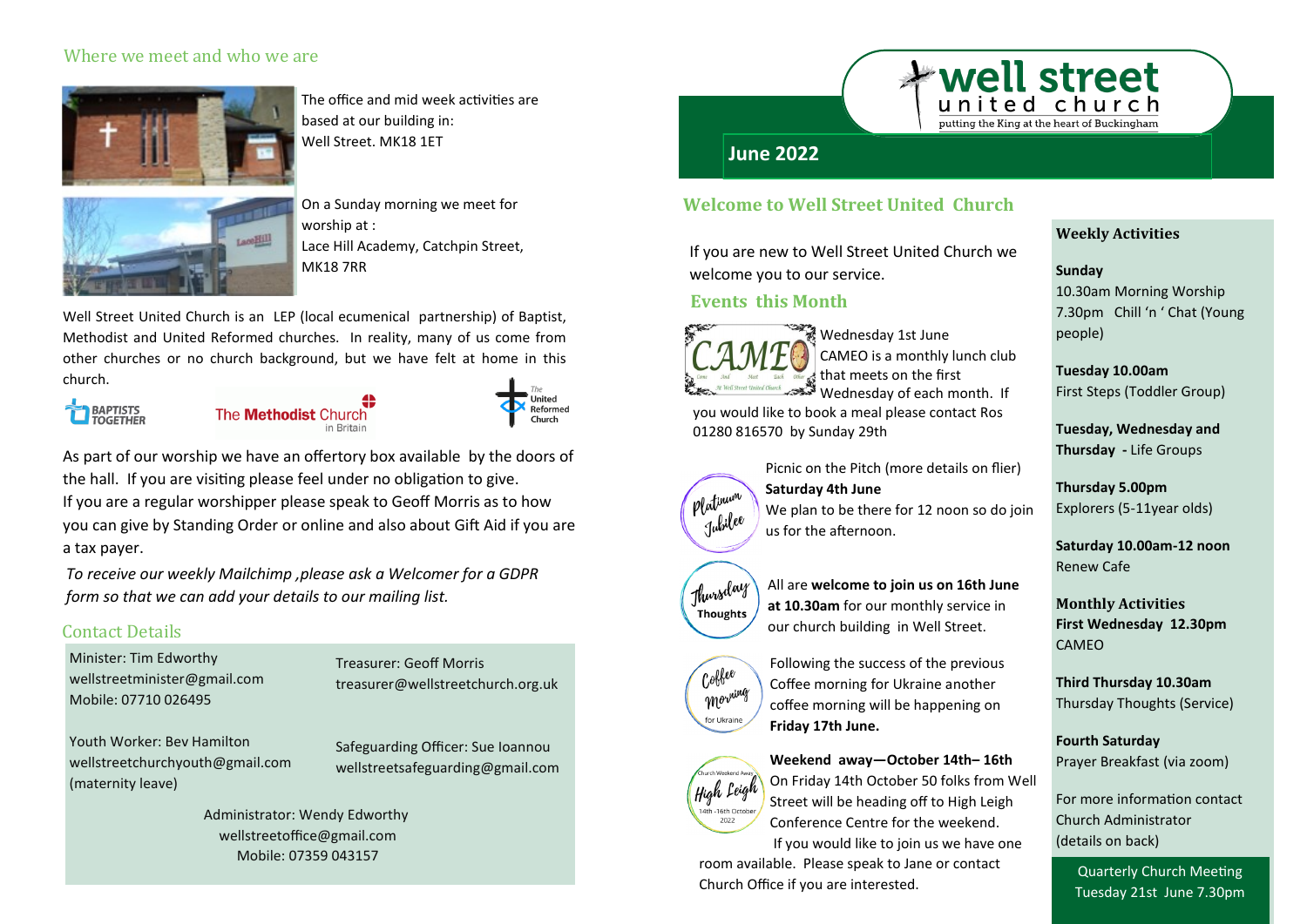### Where we meet and who we are



The office and mid week activities are based at our building in: Well Street. MK18 1ET



On a Sunday morning we meet for worship at : Lace Hill Academy, Catchpin Street, MK18 7RR

Well Street United Church is an LEP (local ecumenical partnership) of Baptist, Methodist and United Reformed churches. In reality, many of us come from other churches or no church background, but we have felt at home in this church.



The **Methodist** Church in Britair



As part of our worship we have an offertory box available by the doors of the hall. If you are visiting please feel under no obligation to give. If you are a regular worshipper please speak to Geoff Morris as to how you can give by Standing Order or online and also about Gift Aid if you are a tax payer.

*To receive our weekly Mailchimp ,please ask a Welcomer for a GDPR form so that we can add your details to our mailing list.*

## Contact Details

Minister: Tim Edworthy [wellstreetminister@gmail.com](mailto:wellstreetminister@gmail.com) Mobile: 07710 026495

Youth Worker: Bev Hamilton [wellstreetchurchyouth@gmail.com](mailto:wellstreetchurchyouth@gmail.com) (maternity leave)

Treasurer: Geoff Morris [treasurer@wellstreetchurch.org.uk](mailto:treasurer@wellstreetchurch.org.uk)

Safeguarding Officer: Sue Ioannou [wellstreetsafeguarding@gmail.com](mailto:wellstreetsafeguarding@gmail.com)

Administrator: Wendy Edworthy [wellstreetoffice@gmail.com](mailto:wellstreetoffice@gmail.com) Mobile: 07359 043157

## **June 2022**

### **Welcome to Well Street United Church**

If you are new to Well Street United Church we welcome you to our service.

### **Events this Month**



Wednesday 1st June CAMEO is a monthly lunch club that meets on the first Wednesday of each month. If

you would like to book a meal please contact Ros 01280 816570 by Sunday 29th



Thursday Thoughts

> Coffee morning for Ukraine

High Leigh -16th Octobe 2022

Picnic on the Pitch (more details on flier) **Saturday 4th June** We plan to be there for 12 noon so do join us for the afternoon.

All are **welcome to join us on 16th June at 10.30am** for our monthly service in our church building in Well Street.

Following the success of the previous Coffee morning for Ukraine another coffee morning will be happening on **Friday 17th June.** 

#### **Weekend away—October 14th– 16th**

On Friday 14th October 50 folks from Well Street will be heading off to High Leigh Conference Centre for the weekend.

If you would like to join us we have one

room available. Please speak to Jane or contact Church Office if you are interested.

### **Weekly Activities**

#### **Sunday**

**\*well street** 

putting the King at the heart of Buckingham

10.30am Morning Worship 7.30pm Chill 'n ' Chat (Young people)

**Tuesday 10.00am** First Steps (Toddler Group)

**Tuesday, Wednesday and Thursday -** Life Groups

**Thursday 5.00pm** Explorers (5-11year olds)

**Saturday 10.00am-12 noon** Renew Cafe

**Monthly Activities First Wednesday 12.30pm** CAMEO

**Third Thursday 10.30am** Thursday Thoughts (Service)

**Fourth Saturday** Prayer Breakfast (via zoom)

For more information contact Church Administrator (details on back)

Quarterly Church Meeting Tuesday 21st June 7.30pm